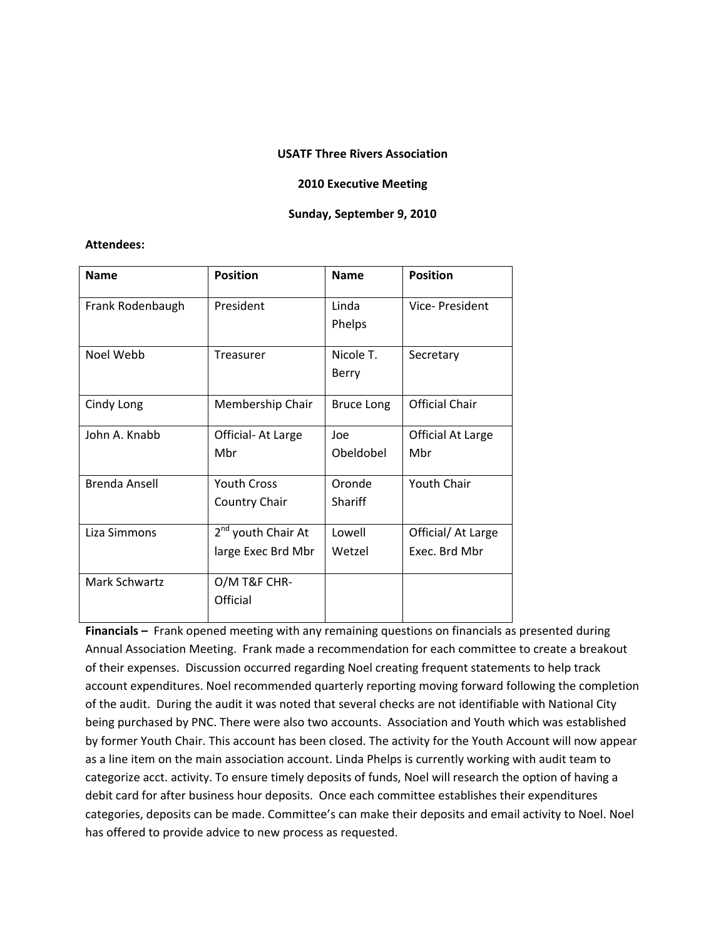## **USATF Three Rivers Association**

## **2010 Executive Meeting**

## **Sunday, September 9, 2010**

## **Attendees:**

| <b>Name</b>      | <b>Position</b>                                      | <b>Name</b>        | <b>Position</b>                     |
|------------------|------------------------------------------------------|--------------------|-------------------------------------|
| Frank Rodenbaugh | President                                            | Linda<br>Phelps    | Vice-President                      |
| Noel Webb        | <b>Treasurer</b>                                     | Nicole T.<br>Berry | Secretary                           |
| Cindy Long       | Membership Chair                                     | <b>Bruce Long</b>  | <b>Official Chair</b>               |
| John A. Knabb    | Official- At Large<br>Mbr                            | Joe<br>Obeldobel   | Official At Large<br>Mbr            |
| Brenda Ansell    | <b>Youth Cross</b><br>Country Chair                  | Oronde<br>Shariff  | <b>Youth Chair</b>                  |
| Liza Simmons     | 2 <sup>nd</sup> youth Chair At<br>large Exec Brd Mbr | Lowell<br>Wetzel   | Official/ At Large<br>Exec. Brd Mbr |
| Mark Schwartz    | O/M T&F CHR-<br>Official                             |                    |                                     |

**Financials –** Frank opened meeting with any remaining questions on financials as presented during Annual Association Meeting. Frank made a recommendation for each committee to create a breakout of their expenses. Discussion occurred regarding Noel creating frequent statements to help track account expenditures. Noel recommended quarterly reporting moving forward following the completion of the audit. During the audit it was noted that several checks are not identifiable with National City being purchased by PNC. There were also two accounts. Association and Youth which was established by former Youth Chair. This account has been closed. The activity for the Youth Account will now appear as a line item on the main association account. Linda Phelps is currently working with audit team to categorize acct. activity. To ensure timely deposits of funds, Noel will research the option of having a debit card for after business hour deposits. Once each committee establishes their expenditures categories, deposits can be made. Committee's can make their deposits and email activity to Noel. Noel has offered to provide advice to new process as requested.